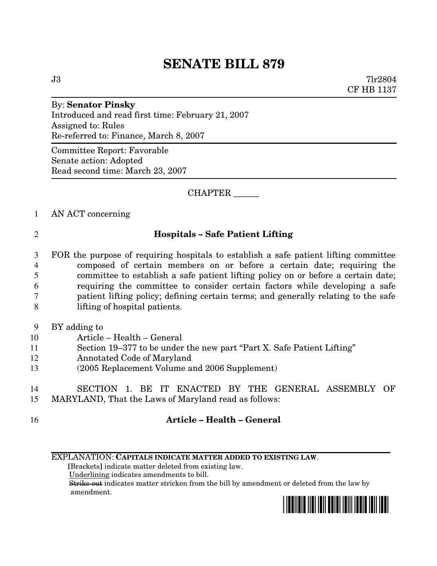# **SENATE BILL 879**

 $J3$  7lr2804 CF HB 1137

By: **Senator Pinsky** Introduced and read first time: February 21, 2007 Assigned to: Rules Re-referred to: Finance, March 8, 2007

Committee Report: Favorable Senate action: Adopted Read second time: March 23, 2007

## CHAPTER \_\_\_\_\_\_

### 1 AN ACT concerning

## 2 **Hospitals – Safe Patient Lifting**

- 3 FOR the purpose of requiring hospitals to establish a safe patient lifting committee 4 composed of certain members on or before a certain date; requiring the 5 committee to establish a safe patient lifting policy on or before a certain date; 6 requiring the committee to consider certain factors while developing a safe 7 patient lifting policy; defining certain terms; and generally relating to the safe 8 lifting of hospital patients.
- 9 BY adding to
- 10 Article Health General
- 11 Section 19–377 to be under the new part "Part X. Safe Patient Lifting"
- 12 Annotated Code of Maryland
- 13 (2005 Replacement Volume and 2006 Supplement)

## 14 SECTION 1. BE IT ENACTED BY THE GENERAL ASSEMBLY OF

- 15 MARYLAND, That the Laws of Maryland read as follows:
- 

## 16 **Article – Health – General**

### EXPLANATION: **CAPITALS INDICATE MATTER ADDED TO EXISTING LAW**.

**[**Brackets**]** indicate matter deleted from existing law. Underlining indicates amendments to bill. Strike out indicates matter stricken from the bill by amendment or deleted from the law by amendment.

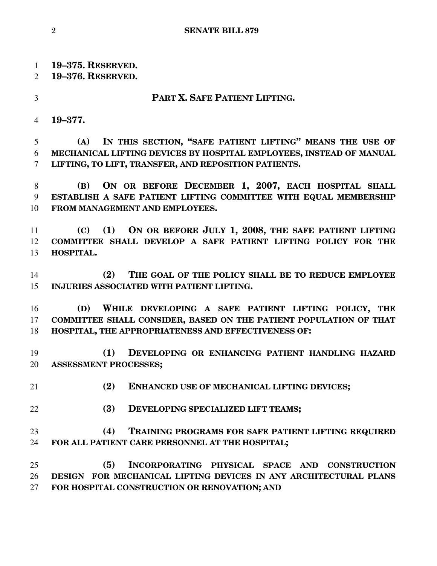**19–375. RESERVED.**

- **19–376. RESERVED.**
- 

### **PART X. SAFE PATIENT LIFTING.**

**19–377.**

 **(A) IN THIS SECTION, "SAFE PATIENT LIFTING" MEANS THE USE OF MECHANICAL LIFTING DEVICES BY HOSPITAL EMPLOYEES, INSTEAD OF MANUAL LIFTING, TO LIFT, TRANSFER, AND REPOSITION PATIENTS.**

 **(B) ON OR BEFORE DECEMBER 1, 2007, EACH HOSPITAL SHALL ESTABLISH A SAFE PATIENT LIFTING COMMITTEE WITH EQUAL MEMBERSHIP FROM MANAGEMENT AND EMPLOYEES.**

 **(C) (1) ON OR BEFORE JULY 1, 2008, THE SAFE PATIENT LIFTING COMMITTEE SHALL DEVELOP A SAFE PATIENT LIFTING POLICY FOR THE HOSPITAL.**

 **(2) THE GOAL OF THE POLICY SHALL BE TO REDUCE EMPLOYEE INJURIES ASSOCIATED WITH PATIENT LIFTING.**

 **(D) WHILE DEVELOPING A SAFE PATIENT LIFTING POLICY, THE COMMITTEE SHALL CONSIDER, BASED ON THE PATIENT POPULATION OF THAT HOSPITAL, THE APPROPRIATENESS AND EFFECTIVENESS OF:**

 **(1) DEVELOPING OR ENHANCING PATIENT HANDLING HAZARD ASSESSMENT PROCESSES;**

**(2) ENHANCED USE OF MECHANICAL LIFTING DEVICES;**

**(3) DEVELOPING SPECIALIZED LIFT TEAMS;**

## **(4) TRAINING PROGRAMS FOR SAFE PATIENT LIFTING REQUIRED FOR ALL PATIENT CARE PERSONNEL AT THE HOSPITAL;**

 **(5) INCORPORATING PHYSICAL SPACE AND CONSTRUCTION DESIGN FOR MECHANICAL LIFTING DEVICES IN ANY ARCHITECTURAL PLANS FOR HOSPITAL CONSTRUCTION OR RENOVATION; AND**